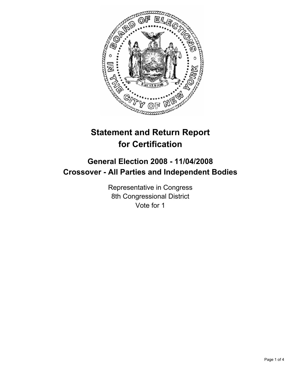

# **Statement and Return Report for Certification**

## **General Election 2008 - 11/04/2008 Crossover - All Parties and Independent Bodies**

Representative in Congress 8th Congressional District Vote for 1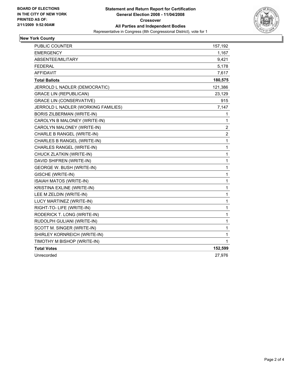

### **New York County**

| PUBLIC COUNTER                      | 157,192                 |
|-------------------------------------|-------------------------|
| <b>EMERGENCY</b>                    | 1,167                   |
| ABSENTEE/MILITARY                   | 9,421                   |
| <b>FEDERAL</b>                      | 5,178                   |
| <b>AFFIDAVIT</b>                    | 7,617                   |
| <b>Total Ballots</b>                | 180,575                 |
| JERROLD L NADLER (DEMOCRATIC)       | 121,386                 |
| <b>GRACE LIN (REPUBLICAN)</b>       | 23,129                  |
| <b>GRACE LIN (CONSERVATIVE)</b>     | 915                     |
| JERROLD L NADLER (WORKING FAMILIES) | 7,147                   |
| <b>BORIS ZILBERMAN (WRITE-IN)</b>   | 1                       |
| CAROLYN B MALONEY (WRITE-IN)        | 1                       |
| CAROLYN MALONEY (WRITE-IN)          | $\overline{\mathbf{c}}$ |
| CHARLE B RANGEL (WRITE-IN)          | $\overline{c}$          |
| CHARLES B RANGEL (WRITE-IN)         | $\mathbf{1}$            |
| CHARLES RANGEL (WRITE-IN)           | 1                       |
| CHUCK ZLATKIN (WRITE-IN)            | 1                       |
| DAVID SHIFREN (WRITE-IN)            | 1                       |
| GEORGE W. BUSH (WRITE-IN)           | 1                       |
| GISCHE (WRITE-IN)                   | 1                       |
| ISAIAH MATOS (WRITE-IN)             | 1                       |
| KRISTINA EXLINE (WRITE-IN)          | 1                       |
| LEE M ZELDIN (WRITE-IN)             | 1                       |
| LUCY MARTINEZ (WRITE-IN)            | 1                       |
| RIGHT-TO-LIFE (WRITE-IN)            | 1                       |
| RODERICK T. LONG (WRITE-IN)         | 1                       |
| RUDOLPH GULIANI (WRITE-IN)          | 1                       |
| SCOTT M. SINGER (WRITE-IN)          | 1                       |
| SHIRLEY KORNREICH (WRITE-IN)        | 1                       |
| TIMOTHY M BISHOP (WRITE-IN)         | $\mathbf 1$             |
| <b>Total Votes</b>                  | 152,599                 |
| Unrecorded                          | 27,976                  |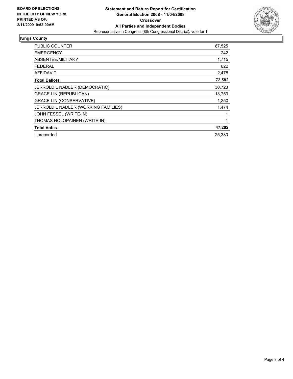

### **Kings County**

| PUBLIC COUNTER                      | 67,525 |
|-------------------------------------|--------|
| <b>EMERGENCY</b>                    | 242    |
| ABSENTEE/MILITARY                   | 1,715  |
| <b>FEDERAL</b>                      | 622    |
| <b>AFFIDAVIT</b>                    | 2,478  |
| <b>Total Ballots</b>                | 72,582 |
| JERROLD L NADLER (DEMOCRATIC)       | 30,723 |
| <b>GRACE LIN (REPUBLICAN)</b>       | 13,753 |
| <b>GRACE LIN (CONSERVATIVE)</b>     | 1,250  |
| JERROLD L NADLER (WORKING FAMILIES) | 1.474  |
| JOHN FESSEL (WRITE-IN)              |        |
| THOMAS HOLOPAINEN (WRITE-IN)        |        |
| <b>Total Votes</b>                  | 47,202 |
| Unrecorded                          | 25,380 |